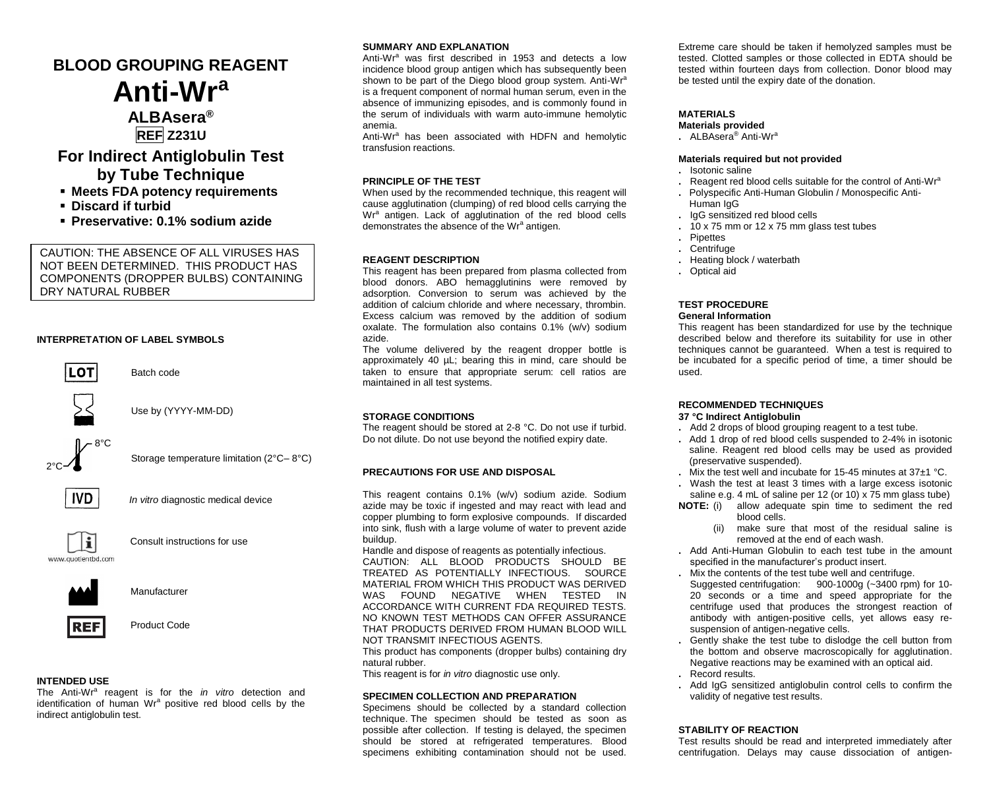# **BLOOD GROUPING REAGENT Anti-Wr<sup>a</sup>**

## **ALBAsera® REF Z231U**

## **For Indirect Antiglobulin Test by Tube Technique**

- **Meets FDA potency requirements**
- **Discard if turbid**
- **Preservative: 0.1% sodium azide**

CAUTION: THE ABSENCE OF ALL VIRUSES HAS NOT BEEN DETERMINED. THIS PRODUCT HAS COMPONENTS (DROPPER BULBS) CONTAINING DRY NATURAL RUBBER

## **INTERPRETATION OF LABEL SYMBOLS**



Batch code



Use by (YYYY-MM-DD)

 2°C  $-8^{\circ}$ C

Storage temperature limitation (2°C– 8°C)



*In vitro* diagnostic medical device



Consult instructions for use



Manufacturer



REF Product Code

## **INTENDED USE**

The Anti-Wr<sup>a</sup> reagent is for the *in vitro* detection and identification of human Wr<sup>a</sup> positive red blood cells by the indirect antiglobulin test.

## **SUMMARY AND EXPLANATION**

Anti-Wr<sup>a</sup> was first described in 1953 and detects a low incidence blood group antigen which has subsequently been shown to be part of the Diego blood group system. Anti-Wr<sup>a</sup> is a frequent component of normal human serum, even in the absence of immunizing episodes, and is commonly found in the serum of individuals with warm auto-immune hemolytic anemia.

Anti-Wr<sup>a</sup> has been associated with HDFN and hemolytic transfusion reactions.

### **PRINCIPLE OF THE TEST**

When used by the recommended technique, this reagent will cause agglutination (clumping) of red blood cells carrying the Wr<sup>a</sup> antigen. Lack of agglutination of the red blood cells demonstrates the absence of the Wrª antigen.

#### **REAGENT DESCRIPTION**

This reagent has been prepared from plasma collected from blood donors. ABO hemagglutinins were removed by adsorption. Conversion to serum was achieved by the addition of calcium chloride and where necessary, thrombin. Excess calcium was removed by the addition of sodium oxalate. The formulation also contains 0.1% (w/v) sodium azide.

The volume delivered by the reagent dropper bottle is approximately 40 µL; bearing this in mind, care should be taken to ensure that appropriate serum: cell ratios are maintained in all test systems.

#### **STORAGE CONDITIONS**

The reagent should be stored at 2-8 °C. Do not use if turbid. Do not dilute. Do not use beyond the notified expiry date.

#### **PRECAUTIONS FOR USE AND DISPOSAL**

This reagent contains 0.1% (w/v) sodium azide. Sodium azide may be toxic if ingested and may react with lead and copper plumbing to form explosive compounds. If discarded into sink, flush with a large volume of water to prevent azide buildup.

Handle and dispose of reagents as potentially infectious. CAUTION: ALL BLOOD PRODUCTS SHOULD BE TREATED AS POTENTIALLY INFECTIOUS. SOURCE MATERIAL FROM WHICH THIS PRODUCT WAS DERIVED WAS FOUND NEGATIVE WHEN TESTED IN ACCORDANCE WITH CURRENT FDA REQUIRED TESTS. NO KNOWN TEST METHODS CAN OFFER ASSURANCE THAT PRODUCTS DERIVED FROM HUMAN BLOOD WILL NOT TRANSMIT INFECTIOUS AGENTS.

This product has components (dropper bulbs) containing dry natural rubber.

This reagent is for *in vitro* diagnostic use only.

#### **SPECIMEN COLLECTION AND PREPARATION**

Specimens should be collected by a standard collection technique. The specimen should be tested as soon as possible after collection. If testing is delayed, the specimen should be stored at refrigerated temperatures. Blood specimens exhibiting contamination should not be used.

Extreme care should be taken if hemolyzed samples must be tested. Clotted samples or those collected in EDTA should be tested within fourteen days from collection. Donor blood may be tested until the expiry date of the donation.

### **MATERIALS**

- **Materials provided**
- **.** ALBAsera® Anti-Wr<sup>a</sup>

#### **Materials required but not provided**

- **.** Isotonic saline
- Reagent red blood cells suitable for the control of Anti-Wr<sup>a</sup>
- **.** Polyspecific Anti-Human Globulin / Monospecific Anti-Human IgG
- **.** IgG sensitized red blood cells
- **.** 10 x 75 mm or 12 x 75 mm glass test tubes
- **.** Pipettes
- **.** Centrifuge
- **.** Heating block / waterbath
- **.** Optical aid

#### **TEST PROCEDURE General Information**

This reagent has been standardized for use by the technique described below and therefore its suitability for use in other techniques cannot be guaranteed. When a test is required to be incubated for a specific period of time, a timer should be used.

#### **RECOMMENDED TECHNIQUES 37 °C Indirect Antiglobulin**

- **.** Add 2 drops of blood grouping reagent to a test tube.
- **.** Add 1 drop of red blood cells suspended to 2-4% in isotonic saline. Reagent red blood cells may be used as provided (preservative suspended).
- **.** Mix the test well and incubate for 15-45 minutes at 37±1 °C.
- **.** Wash the test at least 3 times with a large excess isotonic saline e.g. 4 mL of saline per 12 (or 10) x 75 mm glass tube)
- **NOTE:** (i) allow adequate spin time to sediment the red blood cells.
	- (ii) make sure that most of the residual saline is removed at the end of each wash.
- **.** Add Anti-Human Globulin to each test tube in the amount specified in the manufacturer's product insert.
- **.** Mix the contents of the test tube well and centrifuge. Suggested centrifugation: 900-1000g (~3400 rpm) for 10- 20 seconds or a time and speed appropriate for the centrifuge used that produces the strongest reaction of antibody with antigen-positive cells, yet allows easy resuspension of antigen-negative cells.
- **.** Gently shake the test tube to dislodge the cell button from the bottom and observe macroscopically for agglutination. Negative reactions may be examined with an optical aid. **.** Record results.
- **.** Add IgG sensitized antiglobulin control cells to confirm the validity of negative test results.

### **STABILITY OF REACTION**

Test results should be read and interpreted immediately after centrifugation. Delays may cause dissociation of antigen